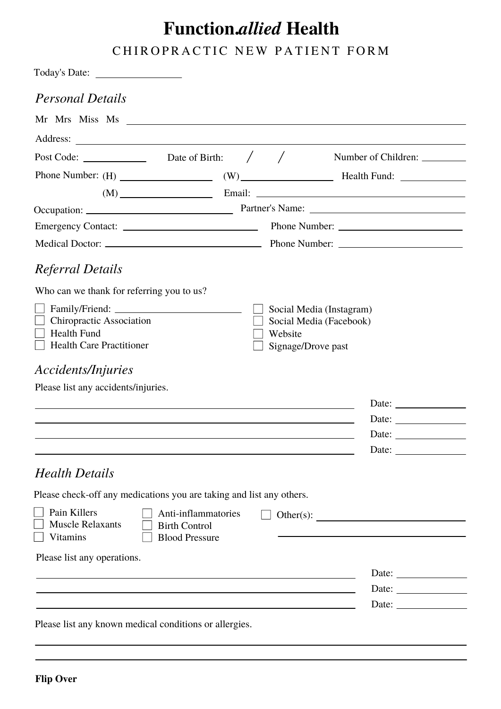## **Function.***allied* **Health**

CHIROPRACTIC NEW PATIENT FORM

| <b>Personal Details</b><br>Post Code: $\qquad \qquad$ Date of Birth: $\qquad \qquad / \qquad /$<br>$(M)$ Email: Email: $\frac{1}{2}$ Email: $\frac{1}{2}$ Email: $\frac{1}{2}$ Email: $\frac{1}{2}$ Email: $\frac{1}{2}$ Email: $\frac{1}{2}$ Email: $\frac{1}{2}$ Email: $\frac{1}{2}$ Email: $\frac{1}{2}$ Email: $\frac{1}{2}$ Email: $\frac{1}{2}$ Email: $\frac{1}{2}$ Email<br>Referral Details<br>Who can we thank for referring you to us?<br>Social Media (Instagram)<br>Chiropractic Association<br>Social Media (Facebook)<br>$\Box$ Health Fund<br>Website<br>Health Care Practitioner<br>Signage/Drove past<br><i>Accidents/Injuries</i><br>Please list any accidents/injuries.<br>and the state of the state of the state of the state of the state of the state of the state of the state of the<br>and the control of the control of the control of the control of the control of the control of the control of the<br><u> 1989 - Johann Stoff, deutscher Stoffen und der Stoffen und der Stoffen und der Stoffen und der Stoffen und der</u><br><b>Health Details</b><br>Please check-off any medications you are taking and list any others.<br>Pain Killers<br>Anti-inflammatories<br><b>Muscle Relaxants</b><br><b>Birth Control</b><br><b>Vitamins</b><br><b>Blood Pressure</b><br>Please list any operations. |              |
|-------------------------------------------------------------------------------------------------------------------------------------------------------------------------------------------------------------------------------------------------------------------------------------------------------------------------------------------------------------------------------------------------------------------------------------------------------------------------------------------------------------------------------------------------------------------------------------------------------------------------------------------------------------------------------------------------------------------------------------------------------------------------------------------------------------------------------------------------------------------------------------------------------------------------------------------------------------------------------------------------------------------------------------------------------------------------------------------------------------------------------------------------------------------------------------------------------------------------------------------------------------------------------------------------------------------------------------|--------------|
|                                                                                                                                                                                                                                                                                                                                                                                                                                                                                                                                                                                                                                                                                                                                                                                                                                                                                                                                                                                                                                                                                                                                                                                                                                                                                                                                     |              |
|                                                                                                                                                                                                                                                                                                                                                                                                                                                                                                                                                                                                                                                                                                                                                                                                                                                                                                                                                                                                                                                                                                                                                                                                                                                                                                                                     |              |
|                                                                                                                                                                                                                                                                                                                                                                                                                                                                                                                                                                                                                                                                                                                                                                                                                                                                                                                                                                                                                                                                                                                                                                                                                                                                                                                                     |              |
|                                                                                                                                                                                                                                                                                                                                                                                                                                                                                                                                                                                                                                                                                                                                                                                                                                                                                                                                                                                                                                                                                                                                                                                                                                                                                                                                     |              |
|                                                                                                                                                                                                                                                                                                                                                                                                                                                                                                                                                                                                                                                                                                                                                                                                                                                                                                                                                                                                                                                                                                                                                                                                                                                                                                                                     |              |
|                                                                                                                                                                                                                                                                                                                                                                                                                                                                                                                                                                                                                                                                                                                                                                                                                                                                                                                                                                                                                                                                                                                                                                                                                                                                                                                                     |              |
|                                                                                                                                                                                                                                                                                                                                                                                                                                                                                                                                                                                                                                                                                                                                                                                                                                                                                                                                                                                                                                                                                                                                                                                                                                                                                                                                     |              |
|                                                                                                                                                                                                                                                                                                                                                                                                                                                                                                                                                                                                                                                                                                                                                                                                                                                                                                                                                                                                                                                                                                                                                                                                                                                                                                                                     |              |
|                                                                                                                                                                                                                                                                                                                                                                                                                                                                                                                                                                                                                                                                                                                                                                                                                                                                                                                                                                                                                                                                                                                                                                                                                                                                                                                                     |              |
|                                                                                                                                                                                                                                                                                                                                                                                                                                                                                                                                                                                                                                                                                                                                                                                                                                                                                                                                                                                                                                                                                                                                                                                                                                                                                                                                     |              |
|                                                                                                                                                                                                                                                                                                                                                                                                                                                                                                                                                                                                                                                                                                                                                                                                                                                                                                                                                                                                                                                                                                                                                                                                                                                                                                                                     |              |
|                                                                                                                                                                                                                                                                                                                                                                                                                                                                                                                                                                                                                                                                                                                                                                                                                                                                                                                                                                                                                                                                                                                                                                                                                                                                                                                                     |              |
|                                                                                                                                                                                                                                                                                                                                                                                                                                                                                                                                                                                                                                                                                                                                                                                                                                                                                                                                                                                                                                                                                                                                                                                                                                                                                                                                     |              |
|                                                                                                                                                                                                                                                                                                                                                                                                                                                                                                                                                                                                                                                                                                                                                                                                                                                                                                                                                                                                                                                                                                                                                                                                                                                                                                                                     |              |
|                                                                                                                                                                                                                                                                                                                                                                                                                                                                                                                                                                                                                                                                                                                                                                                                                                                                                                                                                                                                                                                                                                                                                                                                                                                                                                                                     |              |
|                                                                                                                                                                                                                                                                                                                                                                                                                                                                                                                                                                                                                                                                                                                                                                                                                                                                                                                                                                                                                                                                                                                                                                                                                                                                                                                                     |              |
|                                                                                                                                                                                                                                                                                                                                                                                                                                                                                                                                                                                                                                                                                                                                                                                                                                                                                                                                                                                                                                                                                                                                                                                                                                                                                                                                     |              |
|                                                                                                                                                                                                                                                                                                                                                                                                                                                                                                                                                                                                                                                                                                                                                                                                                                                                                                                                                                                                                                                                                                                                                                                                                                                                                                                                     | Date:        |
|                                                                                                                                                                                                                                                                                                                                                                                                                                                                                                                                                                                                                                                                                                                                                                                                                                                                                                                                                                                                                                                                                                                                                                                                                                                                                                                                     |              |
|                                                                                                                                                                                                                                                                                                                                                                                                                                                                                                                                                                                                                                                                                                                                                                                                                                                                                                                                                                                                                                                                                                                                                                                                                                                                                                                                     |              |
|                                                                                                                                                                                                                                                                                                                                                                                                                                                                                                                                                                                                                                                                                                                                                                                                                                                                                                                                                                                                                                                                                                                                                                                                                                                                                                                                     |              |
|                                                                                                                                                                                                                                                                                                                                                                                                                                                                                                                                                                                                                                                                                                                                                                                                                                                                                                                                                                                                                                                                                                                                                                                                                                                                                                                                     |              |
| ,我们也不会有什么。""我们的人,我们也不会有什么?""我们的人,我们也不会有什么?""我们的人,我们也不会有什么?""我们的人,我们也不会有什么?""我们的人                                                                                                                                                                                                                                                                                                                                                                                                                                                                                                                                                                                                                                                                                                                                                                                                                                                                                                                                                                                                                                                                                                                                                                                                                                                    |              |
|                                                                                                                                                                                                                                                                                                                                                                                                                                                                                                                                                                                                                                                                                                                                                                                                                                                                                                                                                                                                                                                                                                                                                                                                                                                                                                                                     | Date: $\_\_$ |
| and the control of the control of the control of the control of the control of the control of the control of the                                                                                                                                                                                                                                                                                                                                                                                                                                                                                                                                                                                                                                                                                                                                                                                                                                                                                                                                                                                                                                                                                                                                                                                                                    |              |